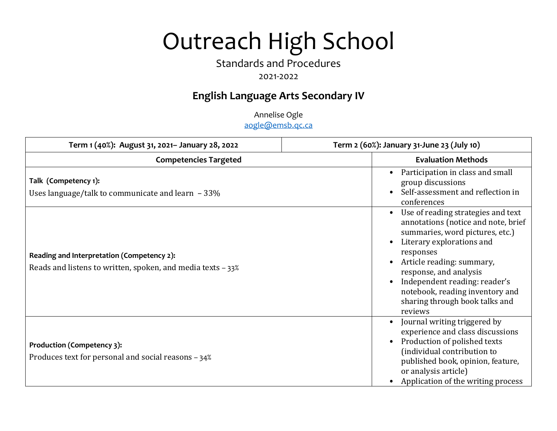# Outreach High School

## Standards and Procedures

## 2021-2022

## **English Language Arts Secondary IV**

Annelise Ogle aogle@emsb.qc.ca

| Term 1 (40%): August 31, 2021- January 28, 2022                                                           | Term 2 (60%): January 31-June 23 (July 10)                                                                                                                                                                                                                                                                                     |
|-----------------------------------------------------------------------------------------------------------|--------------------------------------------------------------------------------------------------------------------------------------------------------------------------------------------------------------------------------------------------------------------------------------------------------------------------------|
| <b>Competencies Targeted</b>                                                                              | <b>Evaluation Methods</b>                                                                                                                                                                                                                                                                                                      |
| Talk (Competency 1):<br>Uses language/talk to communicate and learn $-33\%$                               | Participation in class and small<br>group discussions<br>Self-assessment and reflection in<br>conferences                                                                                                                                                                                                                      |
| Reading and Interpretation (Competency 2):<br>Reads and listens to written, spoken, and media texts - 33% | Use of reading strategies and text<br>annotations (notice and note, brief<br>summaries, word pictures, etc.)<br>Literary explorations and<br>responses<br>Article reading: summary,<br>response, and analysis<br>Independent reading: reader's<br>notebook, reading inventory and<br>sharing through book talks and<br>reviews |
| Production (Competency 3):<br>Produces text for personal and social reasons - 34%                         | Journal writing triggered by<br>$\bullet$<br>experience and class discussions<br>Production of polished texts<br>(individual contribution to<br>published book, opinion, feature,<br>or analysis article)<br>Application of the writing process                                                                                |